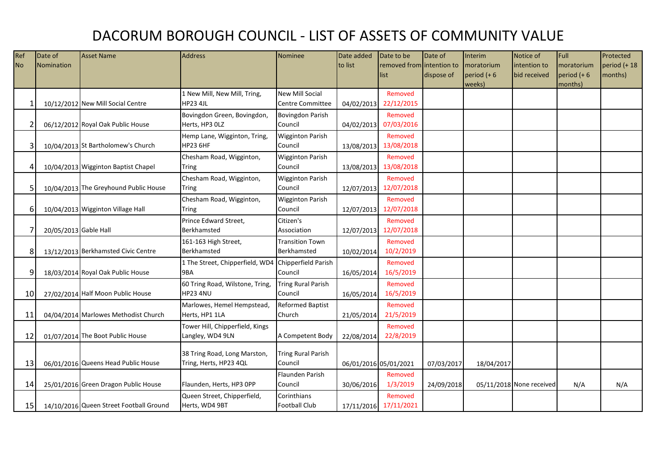## DACORUM BOROUGH COUNCIL - LIST OF ASSETS OF COMMUNITY VALUE

| Ref             | Date of               | <b>Asset Name</b>                       | <b>Address</b>                  | <b>Nominee</b>            | Date added | Date to be                | Date of    | Interim        | Notice of                | Full           | Protected       |
|-----------------|-----------------------|-----------------------------------------|---------------------------------|---------------------------|------------|---------------------------|------------|----------------|--------------------------|----------------|-----------------|
| <b>No</b>       | Nomination            |                                         |                                 |                           | to list    | removed from intention to |            | moratorium     | intention to             | moratorium     | $period (+ 18)$ |
|                 |                       |                                         |                                 |                           |            | list                      | dispose of | period $(+ 6)$ | bid received             | period $(+ 6)$ | months)         |
|                 |                       |                                         |                                 |                           |            |                           |            | weeks)         |                          | months)        |                 |
|                 |                       |                                         | 1 New Mill, New Mill, Tring,    | <b>New Mill Social</b>    |            | Removed                   |            |                |                          |                |                 |
|                 |                       | 10/12/2012 New Mill Social Centre       | <b>HP23 4JL</b>                 | Centre Committee          | 04/02/2013 | 22/12/2015                |            |                |                          |                |                 |
|                 |                       |                                         | Bovingdon Green, Bovingdon,     | <b>Bovingdon Parish</b>   |            | Removed                   |            |                |                          |                |                 |
|                 |                       | 06/12/2012 Royal Oak Public House       | Herts, HP3 OLZ                  | Council                   | 04/02/2013 | 07/03/2016                |            |                |                          |                |                 |
|                 |                       |                                         | Hemp Lane, Wigginton, Tring,    | <b>Wigginton Parish</b>   |            | Removed                   |            |                |                          |                |                 |
| 3               |                       | 10/04/2013 St Bartholomew's Church      | <b>HP23 6HF</b>                 | Council                   | 13/08/2013 | 13/08/2018                |            |                |                          |                |                 |
|                 |                       |                                         | Chesham Road, Wigginton,        | <b>Wigginton Parish</b>   |            | Removed                   |            |                |                          |                |                 |
| 4               |                       | 10/04/2013 Wigginton Baptist Chapel     | Tring                           | Council                   | 13/08/2013 | 13/08/2018                |            |                |                          |                |                 |
|                 |                       |                                         | Chesham Road, Wigginton,        | <b>Wigginton Parish</b>   |            | Removed                   |            |                |                          |                |                 |
| 5               |                       | 10/04/2013 The Greyhound Public House   | <b>Tring</b>                    | Council                   | 12/07/2013 | 12/07/2018                |            |                |                          |                |                 |
|                 |                       |                                         | Chesham Road, Wigginton,        | <b>Wigginton Parish</b>   |            | Removed                   |            |                |                          |                |                 |
| $6 \mid$        |                       | 10/04/2013 Wigginton Village Hall       | Tring                           | Council                   | 12/07/2013 | 12/07/2018                |            |                |                          |                |                 |
|                 |                       |                                         | Prince Edward Street,           | Citizen's                 |            | Removed                   |            |                |                          |                |                 |
|                 | 20/05/2013 Gable Hall |                                         | Berkhamsted                     | Association               |            | 12/07/2013 12/07/2018     |            |                |                          |                |                 |
|                 |                       |                                         | 161-163 High Street,            | <b>Transition Town</b>    |            | Removed                   |            |                |                          |                |                 |
| 8               |                       | 13/12/2013 Berkhamsted Civic Centre     | Berkhamsted                     | Berkhamsted               | 10/02/2014 | 10/2/2019                 |            |                |                          |                |                 |
|                 |                       |                                         | 1 The Street, Chipperfield, WD4 | Chipperfield Parish       |            | Removed                   |            |                |                          |                |                 |
| $\overline{9}$  |                       | 18/03/2014 Royal Oak Public House       | 9BA                             | Council                   | 16/05/2014 | 16/5/2019                 |            |                |                          |                |                 |
|                 |                       |                                         | 60 Tring Road, Wilstone, Tring, | <b>Tring Rural Parish</b> |            | Removed                   |            |                |                          |                |                 |
| 10 <sup>1</sup> |                       | 27/02/2014 Half Moon Public House       | HP23 4NU                        | Council                   | 16/05/2014 | 16/5/2019                 |            |                |                          |                |                 |
|                 |                       |                                         | Marlowes, Hemel Hempstead,      | <b>Reformed Baptist</b>   |            | Removed                   |            |                |                          |                |                 |
| 11              |                       | 04/04/2014 Marlowes Methodist Church    | Herts, HP1 1LA                  | Church                    | 21/05/2014 | 21/5/2019                 |            |                |                          |                |                 |
|                 |                       |                                         | Tower Hill, Chipperfield, Kings |                           |            | Removed                   |            |                |                          |                |                 |
| 12              |                       | 01/07/2014 The Boot Public House        | Langley, WD4 9LN                | A Competent Body          | 22/08/2014 | 22/8/2019                 |            |                |                          |                |                 |
|                 |                       |                                         |                                 |                           |            |                           |            |                |                          |                |                 |
|                 |                       |                                         | 38 Tring Road, Long Marston,    | <b>Tring Rural Parish</b> |            |                           |            |                |                          |                |                 |
| 13              |                       | 06/01/2016 Queens Head Public House     | Tring, Herts, HP23 4QL          | Council                   |            | 06/01/2016 05/01/2021     | 07/03/2017 | 18/04/2017     |                          |                |                 |
|                 |                       |                                         |                                 | Flaunden Parish           |            | Removed                   |            |                |                          |                |                 |
| 14              |                       | 25/01/2016 Green Dragon Public House    | Flaunden, Herts, HP3 OPP        | Council                   | 30/06/2016 | 1/3/2019                  | 24/09/2018 |                | 05/11/2018 None received | N/A            | N/A             |
|                 |                       |                                         | Queen Street, Chipperfield,     | Corinthians               |            | Removed                   |            |                |                          |                |                 |
| 15              |                       | 14/10/2016 Queen Street Football Ground | Herts, WD4 9BT                  | <b>Football Club</b>      |            | 17/11/2016 17/11/2021     |            |                |                          |                |                 |